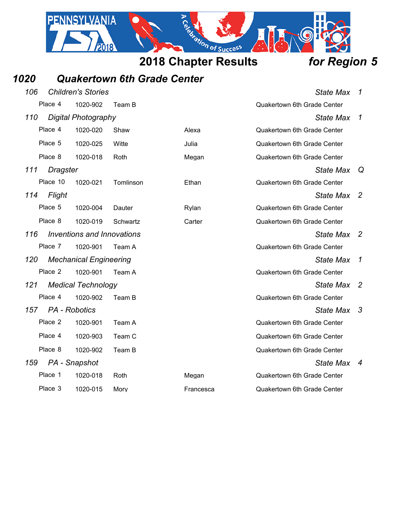## *1020 Quakertown 6th Grade Center*

2018

PENNSYLVANIA

| 106 |                 | <b>Children's Stories</b><br><b>State Max</b><br>1 |           |           |                                    |                  |  |
|-----|-----------------|----------------------------------------------------|-----------|-----------|------------------------------------|------------------|--|
|     | Place 4         | 1020-902                                           | Team B    |           | Quakertown 6th Grade Center        |                  |  |
| 110 |                 | <b>Digital Photography</b>                         |           |           | <b>State Max</b>                   | 1                |  |
|     | Place 4         | 1020-020                                           | Shaw      | Alexa     | <b>Quakertown 6th Grade Center</b> |                  |  |
|     | Place 5         | 1020-025                                           | Witte     | Julia     | <b>Quakertown 6th Grade Center</b> |                  |  |
|     | Place 8         | 1020-018                                           | Roth      | Megan     | Quakertown 6th Grade Center        |                  |  |
| 111 | <b>Dragster</b> |                                                    |           |           | <b>State Max</b>                   | Q                |  |
|     | Place 10        | 1020-021                                           | Tomlinson | Ethan     | Quakertown 6th Grade Center        |                  |  |
| 114 | Flight          |                                                    |           |           | State Max                          | -2               |  |
|     | Place 5         | 1020-004                                           | Dauter    | Rylan     | <b>Quakertown 6th Grade Center</b> |                  |  |
|     | Place 8         | 1020-019                                           | Schwartz  | Carter    | <b>Quakertown 6th Grade Center</b> |                  |  |
| 116 |                 | Inventions and Innovations                         |           |           | State Max                          | $\overline{2}$   |  |
|     | Place 7         | 1020-901                                           | Team A    |           | Quakertown 6th Grade Center        |                  |  |
| 120 |                 | <b>Mechanical Engineering</b>                      |           |           | <b>State Max</b>                   | $\mathcal I$     |  |
|     | Place 2         | 1020-901                                           | Team A    |           | Quakertown 6th Grade Center        |                  |  |
| 121 |                 | <b>Medical Technology</b>                          |           |           | <b>State Max</b>                   | $\overline{2}$   |  |
|     | Place 4         | 1020-902                                           | Team B    |           | <b>Quakertown 6th Grade Center</b> |                  |  |
| 157 |                 | PA - Robotics                                      |           |           | State Max                          | -3               |  |
|     | Place 2         | 1020-901                                           | Team A    |           | <b>Quakertown 6th Grade Center</b> |                  |  |
|     | Place 4         | 1020-903                                           | Team C    |           | <b>Quakertown 6th Grade Center</b> |                  |  |
|     | Place 8         | 1020-902                                           | Team B    |           | Quakertown 6th Grade Center        |                  |  |
| 159 |                 | PA - Snapshot                                      |           |           | <b>State Max</b>                   | $\boldsymbol{4}$ |  |
|     | Place 1         | 1020-018                                           | Roth      | Megan     | Quakertown 6th Grade Center        |                  |  |
|     | Place 3         | 1020-015                                           | Mory      | Francesca | Quakertown 6th Grade Center        |                  |  |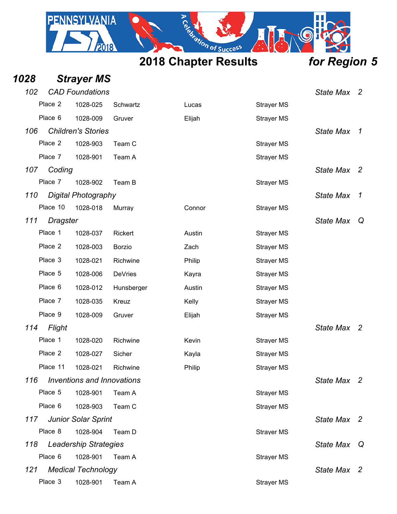

| 1028 |                 | <b>Strayer MS</b>                 |                |        |                   |                  |                          |
|------|-----------------|-----------------------------------|----------------|--------|-------------------|------------------|--------------------------|
| 102  |                 | <b>CAD Foundations</b>            |                |        |                   | <b>State Max</b> | $\overline{\phantom{a}}$ |
|      | Place 2         | 1028-025                          | Schwartz       | Lucas  | <b>Strayer MS</b> |                  |                          |
|      | Place 6         | 1028-009                          | Gruver         | Elijah | <b>Strayer MS</b> |                  |                          |
| 106  |                 | <b>Children's Stories</b>         |                |        |                   | <b>State Max</b> | $\mathcal{I}$            |
|      | Place 2         | 1028-903                          | Team C         |        | <b>Strayer MS</b> |                  |                          |
|      | Place 7         | 1028-901                          | Team A         |        | <b>Strayer MS</b> |                  |                          |
| 107  | Coding          |                                   |                |        |                   | <b>State Max</b> | $\overline{2}$           |
|      | Place 7         | 1028-902                          | Team B         |        | <b>Strayer MS</b> |                  |                          |
| 110  |                 | <b>Digital Photography</b>        |                |        |                   | <b>State Max</b> | $\mathcal I$             |
|      | Place 10        | 1028-018                          | Murray         | Connor | <b>Strayer MS</b> |                  |                          |
| 111  | <b>Dragster</b> |                                   |                |        |                   | <b>State Max</b> | Q                        |
|      | Place 1         | 1028-037                          | Rickert        | Austin | <b>Strayer MS</b> |                  |                          |
|      | Place 2         | 1028-003                          | <b>Borzio</b>  | Zach   | <b>Strayer MS</b> |                  |                          |
|      | Place 3         | 1028-021                          | Richwine       | Philip | <b>Strayer MS</b> |                  |                          |
|      | Place 5         | 1028-006                          | <b>DeVries</b> | Kayra  | <b>Strayer MS</b> |                  |                          |
|      | Place 6         | 1028-012                          | Hunsberger     | Austin | <b>Strayer MS</b> |                  |                          |
|      | Place 7         | 1028-035                          | Kreuz          | Kelly  | <b>Strayer MS</b> |                  |                          |
|      | Place 9         | 1028-009                          | Gruver         | Elijah | <b>Strayer MS</b> |                  |                          |
| 114  | Flight          |                                   |                |        |                   | <b>State Max</b> | $\overline{2}$           |
|      | Place 1         | 1028-020                          | Richwine       | Kevin  | <b>Strayer MS</b> |                  |                          |
|      | Place 2         | 1028-027                          | Sicher         | Kayla  | <b>Strayer MS</b> |                  |                          |
|      | Place 11        | 1028-021                          | Richwine       | Philip | <b>Strayer MS</b> |                  |                          |
| 116  |                 | <b>Inventions and Innovations</b> |                |        |                   | State Max 2      |                          |
|      | Place 5         | 1028-901                          | Team A         |        | <b>Strayer MS</b> |                  |                          |
|      | Place 6         | 1028-903                          | Team C         |        | <b>Strayer MS</b> |                  |                          |
| 117  |                 | <b>Junior Solar Sprint</b>        |                |        |                   | State Max 2      |                          |
|      | Place 8         | 1028-904                          | Team D         |        | <b>Strayer MS</b> |                  |                          |
| 118  |                 | <b>Leadership Strategies</b>      |                |        |                   | <b>State Max</b> | Q                        |
|      | Place 6         | 1028-901                          | Team A         |        | <b>Strayer MS</b> |                  |                          |
| 121  |                 | <b>Medical Technology</b>         |                |        |                   | State Max 2      |                          |
|      | Place 3         | 1028-901                          | Team A         |        | <b>Strayer MS</b> |                  |                          |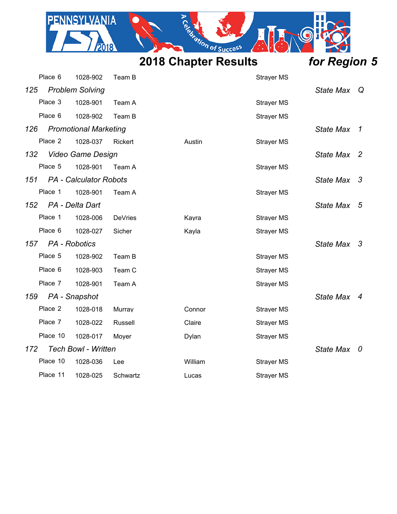

PENNSYLVANIA

| for Region 5 |  |
|--------------|--|
|              |  |

 $\cdot$   $\odot$ 

|     | Place 6       | 1028-902                      | Team B         |         | <b>Strayer MS</b> |                  |                |
|-----|---------------|-------------------------------|----------------|---------|-------------------|------------------|----------------|
| 125 |               | <b>Problem Solving</b>        |                |         |                   | <b>State Max</b> | Q              |
|     | Place 3       | 1028-901                      | Team A         |         | <b>Strayer MS</b> |                  |                |
|     | Place 6       | 1028-902                      | Team B         |         | <b>Strayer MS</b> |                  |                |
| 126 |               | <b>Promotional Marketing</b>  |                |         |                   | <b>State Max</b> | $\overline{1}$ |
|     | Place 2       | 1028-037                      | Rickert        | Austin  | <b>Strayer MS</b> |                  |                |
| 132 |               | <b>Video Game Design</b>      |                |         |                   | State Max 2      |                |
|     | Place 5       | 1028-901                      | Team A         |         | <b>Strayer MS</b> |                  |                |
| 151 |               | <b>PA</b> - Calculator Robots |                |         |                   | State Max 3      |                |
|     | Place 1       | 1028-901                      | Team A         |         | <b>Strayer MS</b> |                  |                |
| 152 |               | PA - Delta Dart               |                |         |                   | <b>State Max</b> | - 5            |
|     | Place 1       | 1028-006                      | <b>DeVries</b> | Kayra   | <b>Strayer MS</b> |                  |                |
|     | Place 6       | 1028-027                      | Sicher         | Kayla   | <b>Strayer MS</b> |                  |                |
| 157 | PA - Robotics |                               |                |         |                   | State Max 3      |                |
|     | Place 5       | 1028-902                      | Team B         |         | <b>Strayer MS</b> |                  |                |
|     | Place 6       | 1028-903                      | Team C         |         | <b>Strayer MS</b> |                  |                |
|     | Place 7       | 1028-901                      | Team A         |         | <b>Strayer MS</b> |                  |                |
| 159 |               | PA - Snapshot                 |                |         |                   | State Max 4      |                |
|     | Place 2       | 1028-018                      | Murray         | Connor  | <b>Strayer MS</b> |                  |                |
|     | Place 7       | 1028-022                      | <b>Russell</b> | Claire  | <b>Strayer MS</b> |                  |                |
|     | Place 10      | 1028-017                      | Mover          | Dylan   | <b>Strayer MS</b> |                  |                |
| 172 |               | <b>Tech Bowl - Written</b>    |                |         |                   | <b>State Max</b> | - 0            |
|     | Place 10      | 1028-036                      | Lee            | William | <b>Strayer MS</b> |                  |                |
|     | Place 11      | 1028-025                      | Schwartz       | Lucas   | <b>Strayer MS</b> |                  |                |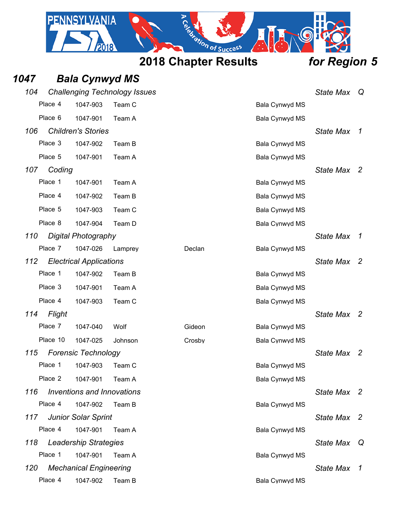

| 1047 |          | <b>Bala Cynwyd MS</b>          |                                      |        |                       |                  |                          |
|------|----------|--------------------------------|--------------------------------------|--------|-----------------------|------------------|--------------------------|
| 104  |          |                                | <b>Challenging Technology Issues</b> |        |                       | <b>State Max</b> | Q                        |
|      | Place 4  | 1047-903                       | Team C                               |        | Bala Cynwyd MS        |                  |                          |
|      | Place 6  | 1047-901                       | Team A                               |        | Bala Cynwyd MS        |                  |                          |
| 106  |          | <b>Children's Stories</b>      |                                      |        |                       | <b>State Max</b> | $\overline{1}$           |
|      | Place 3  | 1047-902                       | Team B                               |        | Bala Cynwyd MS        |                  |                          |
|      | Place 5  | 1047-901                       | Team A                               |        | Bala Cynwyd MS        |                  |                          |
| 107  | Coding   |                                |                                      |        |                       | <b>State Max</b> | $\overline{2}$           |
|      | Place 1  | 1047-901                       | Team A                               |        | Bala Cynwyd MS        |                  |                          |
|      | Place 4  | 1047-902                       | Team B                               |        | Bala Cynwyd MS        |                  |                          |
|      | Place 5  | 1047-903                       | Team C                               |        | Bala Cynwyd MS        |                  |                          |
|      | Place 8  | 1047-904                       | Team D                               |        | Bala Cynwyd MS        |                  |                          |
| 110  |          | <b>Digital Photography</b>     |                                      |        |                       | <b>State Max</b> | -7                       |
|      | Place 7  | 1047-026                       | Lamprey                              | Declan | Bala Cynwyd MS        |                  |                          |
| 112  |          | <b>Electrical Applications</b> |                                      |        |                       | <b>State Max</b> | $\overline{2}$           |
|      | Place 1  | 1047-902                       | Team B                               |        | Bala Cynwyd MS        |                  |                          |
|      | Place 3  | 1047-901                       | Team A                               |        | Bala Cynwyd MS        |                  |                          |
|      | Place 4  | 1047-903                       | Team C                               |        | Bala Cynwyd MS        |                  |                          |
| 114  | Flight   |                                |                                      |        |                       | <b>State Max</b> | - 2                      |
|      | Place 7  | 1047-040                       | Wolf                                 | Gideon | Bala Cynwyd MS        |                  |                          |
|      | Place 10 | 1047-025                       | Johnson                              | Crosby | Bala Cynwyd MS        |                  |                          |
| 115  |          | <b>Forensic Technology</b>     |                                      |        |                       | <b>State Max</b> | 2                        |
|      | Place 1  | 1047-903                       | Team C                               |        | Bala Cynwyd MS        |                  |                          |
|      | Place 2  | 1047-901                       | Team A                               |        | Bala Cynwyd MS        |                  |                          |
| 116  |          | Inventions and Innovations     |                                      |        |                       | State Max 2      |                          |
|      | Place 4  | 1047-902                       | Team B                               |        | <b>Bala Cynwyd MS</b> |                  |                          |
| 117  |          | <b>Junior Solar Sprint</b>     |                                      |        |                       | <b>State Max</b> | $\overline{\phantom{a}}$ |
|      | Place 4  | 1047-901                       | Team A                               |        | <b>Bala Cynwyd MS</b> |                  |                          |
| 118  |          | <b>Leadership Strategies</b>   |                                      |        |                       | <b>State Max</b> | Q                        |
|      | Place 1  | 1047-901                       | Team A                               |        | Bala Cynwyd MS        |                  |                          |
| 120  |          | <b>Mechanical Engineering</b>  |                                      |        |                       | State Max 1      |                          |
|      | Place 4  | 1047-902                       | Team B                               |        | Bala Cynwyd MS        |                  |                          |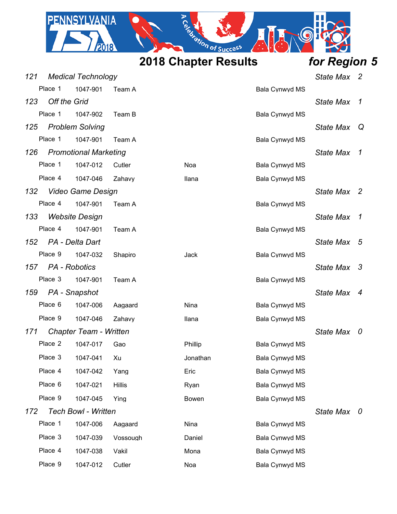

| <b>Medical Technology</b><br>121 |                     |                              |               |          |                | State Max 2      |                          |
|----------------------------------|---------------------|------------------------------|---------------|----------|----------------|------------------|--------------------------|
|                                  | Place 1             | 1047-901                     | Team A        |          | Bala Cynwyd MS |                  |                          |
| 123                              | <b>Off the Grid</b> |                              |               |          |                | <b>State Max</b> | $\mathcal I$             |
|                                  | Place 1             | 1047-902                     | Team B        |          | Bala Cynwyd MS |                  |                          |
| 125                              |                     | <b>Problem Solving</b>       |               |          |                | <b>State Max</b> | Q                        |
|                                  | Place 1             | 1047-901                     | Team A        |          | Bala Cynwyd MS |                  |                          |
| 126                              |                     | <b>Promotional Marketing</b> |               |          |                | <b>State Max</b> | $\mathcal I$             |
|                                  | Place 1             | 1047-012                     | Cutler        | Noa      | Bala Cynwyd MS |                  |                          |
|                                  | Place 4             | 1047-046                     | Zahavy        | Ilana    | Bala Cynwyd MS |                  |                          |
| 132                              |                     | Video Game Design            |               |          |                | State Max 2      |                          |
|                                  | Place 4             | 1047-901                     | Team A        |          | Bala Cynwyd MS |                  |                          |
| 133                              |                     | <b>Website Design</b>        |               |          |                | <b>State Max</b> | $\mathcal I$             |
|                                  | Place 4             | 1047-901                     | Team A        |          | Bala Cynwyd MS |                  |                          |
| 152                              |                     | PA - Delta Dart              |               |          |                | <b>State Max</b> | - 5                      |
|                                  | Place 9             | 1047-032                     | Shapiro       | Jack     | Bala Cynwyd MS |                  |                          |
| 157                              |                     | PA - Robotics                |               |          |                | State Max 3      |                          |
|                                  | Place 3             | 1047-901                     | Team A        |          | Bala Cynwyd MS |                  |                          |
| 159                              |                     | PA - Snapshot                |               |          |                | State Max        | $\overline{4}$           |
|                                  | Place 6             | 1047-006                     | Aagaard       | Nina     | Bala Cynwyd MS |                  |                          |
|                                  | Place 9             | 1047-046                     | Zahavy        | Ilana    | Bala Cynwyd MS |                  |                          |
| 171                              |                     | Chapter Team - Written       |               |          |                | State Max        | $\overline{\phantom{a}}$ |
|                                  | Place 2             | 1047-017                     | Gao           | Phillip  | Bala Cynwyd MS |                  |                          |
|                                  | Place 3             | 1047-041                     | Xu            | Jonathan | Bala Cynwyd MS |                  |                          |
|                                  | Place 4             | 1047-042                     | Yang          | Eric     | Bala Cynwyd MS |                  |                          |
|                                  | Place 6             | 1047-021                     | <b>Hillis</b> | Ryan     | Bala Cynwyd MS |                  |                          |
|                                  | Place 9             | 1047-045                     | Ying          | Bowen    | Bala Cynwyd MS |                  |                          |
| 172                              |                     | <b>Tech Bowl - Written</b>   |               |          |                | State Max 0      |                          |
|                                  | Place 1             | 1047-006                     | Aagaard       | Nina     | Bala Cynwyd MS |                  |                          |
|                                  | Place 3             | 1047-039                     | Vossough      | Daniel   | Bala Cynwyd MS |                  |                          |
|                                  | Place 4             | 1047-038                     | Vakil         | Mona     | Bala Cynwyd MS |                  |                          |
|                                  | Place 9             | 1047-012                     | Cutler        | Noa      | Bala Cynwyd MS |                  |                          |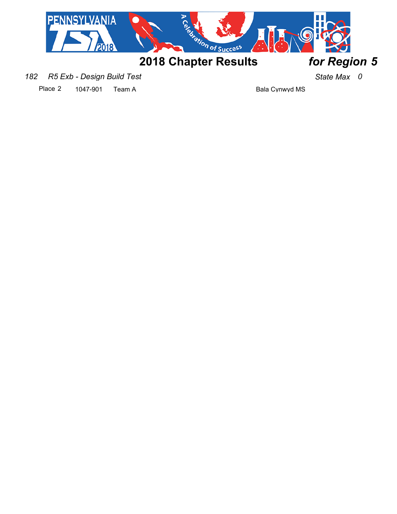

*182 R5 Exb - Design Build Test State Max 0*

Place 2 1047-901 Team A Bala Cynwyd MS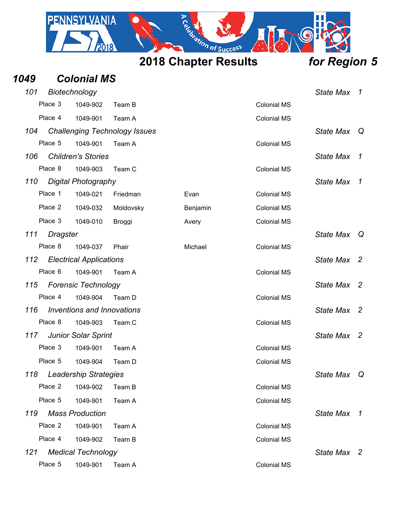

| 1049 |                 | <b>Colonial MS</b>             |                                      |          |                    |                  |                          |
|------|-----------------|--------------------------------|--------------------------------------|----------|--------------------|------------------|--------------------------|
| 101  |                 | Biotechnology                  |                                      |          |                    | <b>State Max</b> | $\mathcal{I}$            |
|      | Place 3         | 1049-902                       | Team B                               |          | <b>Colonial MS</b> |                  |                          |
|      | Place 4         | 1049-901                       | Team A                               |          | <b>Colonial MS</b> |                  |                          |
| 104  |                 |                                | <b>Challenging Technology Issues</b> |          |                    | <b>State Max</b> | Q                        |
|      | Place 5         | 1049-901                       | Team A                               |          | <b>Colonial MS</b> |                  |                          |
| 106  |                 | <b>Children's Stories</b>      |                                      |          |                    | <b>State Max</b> | $\mathcal I$             |
|      | Place 8         | 1049-903                       | Team C                               |          | <b>Colonial MS</b> |                  |                          |
| 110  |                 | Digital Photography            |                                      |          |                    | <b>State Max</b> | 1                        |
|      | Place 1         | 1049-021                       | Friedman                             | Evan     | <b>Colonial MS</b> |                  |                          |
|      | Place 2         | 1049-032                       | Moldovsky                            | Benjamin | <b>Colonial MS</b> |                  |                          |
|      | Place 3         | 1049-010                       | Broggi                               | Avery    | <b>Colonial MS</b> |                  |                          |
| 111  | <b>Dragster</b> |                                |                                      |          |                    | <b>State Max</b> | Q                        |
|      | Place 8         | 1049-037                       | Phair                                | Michael  | <b>Colonial MS</b> |                  |                          |
| 112  |                 | <b>Electrical Applications</b> |                                      |          |                    | <b>State Max</b> | -2                       |
|      | Place 6         | 1049-901                       | Team A                               |          | <b>Colonial MS</b> |                  |                          |
| 115  |                 | <b>Forensic Technology</b>     |                                      |          |                    | <b>State Max</b> | $\overline{\phantom{a}}$ |
|      | Place 4         | 1049-904                       | Team D                               |          | <b>Colonial MS</b> |                  |                          |
| 116  |                 | Inventions and Innovations     |                                      |          |                    | <b>State Max</b> | $\overline{2}$           |
|      | Place 8         | 1049-903                       | Team C                               |          | <b>Colonial MS</b> |                  |                          |
| 117  |                 | <b>Junior Solar Sprint</b>     |                                      |          |                    | <b>State Max</b> | $\overline{2}$           |
|      | Place 3         | 1049-901                       | Team A                               |          | <b>Colonial MS</b> |                  |                          |
|      | Place 5         | 1049-904                       | Team D                               |          | <b>Colonial MS</b> |                  |                          |
| 118  |                 | <b>Leadership Strategies</b>   |                                      |          |                    | <b>State Max</b> | Q                        |
|      | Place 2         | 1049-902                       | Team B                               |          | <b>Colonial MS</b> |                  |                          |
|      | Place 5         | 1049-901                       | Team A                               |          | <b>Colonial MS</b> |                  |                          |
| 119  |                 | <b>Mass Production</b>         |                                      |          |                    | <b>State Max</b> | $\overline{1}$           |
|      | Place 2         | 1049-901                       | Team A                               |          | <b>Colonial MS</b> |                  |                          |
|      | Place 4         | 1049-902                       | Team B                               |          | <b>Colonial MS</b> |                  |                          |
| 121  |                 | <b>Medical Technology</b>      |                                      |          |                    | State Max 2      |                          |
|      | Place 5         | 1049-901                       | Team A                               |          | <b>Colonial MS</b> |                  |                          |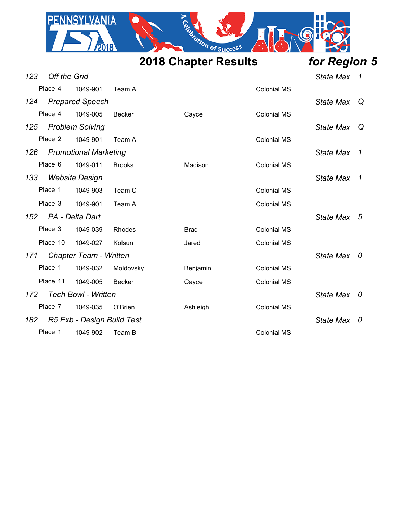

| 123 | <b>Off the Grid</b> |                               |               |             |                    | <b>State Max</b> | $\overline{1}$ |
|-----|---------------------|-------------------------------|---------------|-------------|--------------------|------------------|----------------|
|     | Place 4             | 1049-901                      | Team A        |             | <b>Colonial MS</b> |                  |                |
| 124 |                     | <b>Prepared Speech</b>        |               |             |                    | <b>State Max</b> | Q              |
|     | Place 4             | 1049-005                      | <b>Becker</b> | Cayce       | <b>Colonial MS</b> |                  |                |
| 125 |                     | <b>Problem Solving</b>        |               |             |                    | <b>State Max</b> | Q              |
|     | Place 2             | 1049-901                      | Team A        |             | <b>Colonial MS</b> |                  |                |
| 126 |                     | <b>Promotional Marketing</b>  |               |             |                    | <b>State Max</b> | $\overline{1}$ |
|     | Place 6             | 1049-011                      | <b>Brooks</b> | Madison     | <b>Colonial MS</b> |                  |                |
| 133 |                     | <b>Website Design</b>         |               |             |                    | <b>State Max</b> | $\overline{1}$ |
|     | Place 1             | 1049-903                      | Team C        |             | <b>Colonial MS</b> |                  |                |
|     | Place 3             | 1049-901                      | Team A        |             | <b>Colonial MS</b> |                  |                |
|     | 152 PA - Delta Dart |                               |               |             |                    | State Max 5      |                |
|     | Place 3             | 1049-039                      | Rhodes        | <b>Brad</b> | <b>Colonial MS</b> |                  |                |
|     | Place 10            | 1049-027                      | Kolsun        | Jared       | <b>Colonial MS</b> |                  |                |
| 171 |                     | <b>Chapter Team - Written</b> |               |             |                    | State Max 0      |                |
|     | Place 1             | 1049-032                      | Moldovsky     | Benjamin    | <b>Colonial MS</b> |                  |                |
|     | Place 11            | 1049-005                      | <b>Becker</b> | Cayce       | <b>Colonial MS</b> |                  |                |
| 172 |                     | <b>Tech Bowl - Written</b>    |               |             |                    | <b>State Max</b> | 0              |
|     | Place 7             | 1049-035                      | O'Brien       | Ashleigh    | <b>Colonial MS</b> |                  |                |
| 182 |                     | R5 Exb - Design Build Test    |               |             |                    | <b>State Max</b> | 0              |
|     | Place 1             | 1049-902                      | Team B        |             | <b>Colonial MS</b> |                  |                |
|     |                     |                               |               |             |                    |                  |                |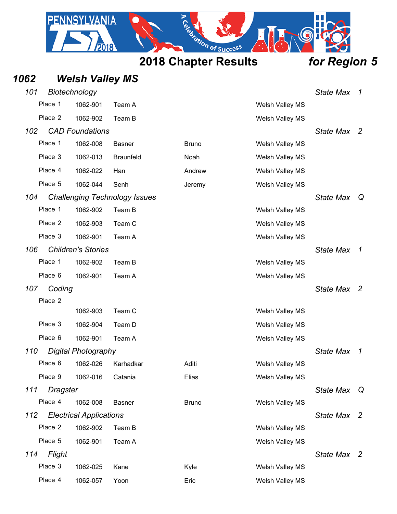

| 1062 |                            | <b>Welsh Valley MS</b>         |                                      |              |                 |                  |                          |
|------|----------------------------|--------------------------------|--------------------------------------|--------------|-----------------|------------------|--------------------------|
| 101  |                            | Biotechnology                  |                                      |              |                 | <b>State Max</b> | $\overline{1}$           |
|      | Place 1                    | 1062-901                       | Team A                               |              | Welsh Valley MS |                  |                          |
|      | Place 2                    | 1062-902                       | Team B                               |              | Welsh Valley MS |                  |                          |
| 102  |                            | <b>CAD Foundations</b>         |                                      |              |                 | <b>State Max</b> | $\overline{\phantom{a}}$ |
|      | Place 1                    | 1062-008                       | <b>Basner</b>                        | <b>Bruno</b> | Welsh Valley MS |                  |                          |
|      | Place 3                    | 1062-013                       | <b>Braunfeld</b>                     | Noah         | Welsh Valley MS |                  |                          |
|      | Place 4                    | 1062-022                       | Han                                  | Andrew       | Welsh Valley MS |                  |                          |
|      | Place 5                    | 1062-044                       | Senh                                 | Jeremy       | Welsh Valley MS |                  |                          |
| 104  |                            |                                | <b>Challenging Technology Issues</b> |              |                 | <b>State Max</b> | Q                        |
|      | Place 1                    | 1062-902                       | Team B                               |              | Welsh Valley MS |                  |                          |
|      | Place 2                    | 1062-903                       | Team C                               |              | Welsh Valley MS |                  |                          |
|      | Place 3                    | 1062-901                       | Team A                               |              | Welsh Valley MS |                  |                          |
| 106  |                            | <b>Children's Stories</b>      |                                      |              |                 | <b>State Max</b> | $\overline{1}$           |
|      | Place 1                    | 1062-902                       | Team B                               |              | Welsh Valley MS |                  |                          |
|      | Place 6                    | 1062-901                       | Team A                               |              | Welsh Valley MS |                  |                          |
| 107  | Coding                     |                                |                                      |              |                 | <b>State Max</b> | - 2                      |
|      | Place 2                    |                                |                                      |              |                 |                  |                          |
|      |                            | 1062-903                       | Team C                               |              | Welsh Valley MS |                  |                          |
|      | Place 3                    | 1062-904                       | Team D                               |              | Welsh Valley MS |                  |                          |
|      | Place 6                    | 1062-901                       | Team A                               |              | Welsh Valley MS |                  |                          |
| 110  |                            | <b>Digital Photography</b>     |                                      |              |                 | <b>State Max</b> | $\mathcal{I}$            |
|      | Place 6                    |                                | 1062-026 Karhadkar                   | Aditi        | Welsh Valley MS |                  |                          |
|      | Place 9                    | 1062-016                       | Catania                              | Elias        | Welsh Valley MS |                  |                          |
| 111  | <b>Dragster</b><br>Place 4 | 1062-008                       | <b>Basner</b>                        | <b>Bruno</b> | Welsh Valley MS | <b>State Max</b> | Q                        |
| 112  |                            | <b>Electrical Applications</b> |                                      |              |                 | State Max 2      |                          |
|      | Place 2                    | 1062-902                       | Team B                               |              | Welsh Valley MS |                  |                          |
|      | Place 5                    | 1062-901                       | Team A                               |              | Welsh Valley MS |                  |                          |
| 114  | Flight                     |                                |                                      |              |                 | State Max 2      |                          |
|      | Place 3                    | 1062-025                       | Kane                                 | Kyle         | Welsh Valley MS |                  |                          |
|      | Place 4                    | 1062-057                       | Yoon                                 | Eric         | Welsh Valley MS |                  |                          |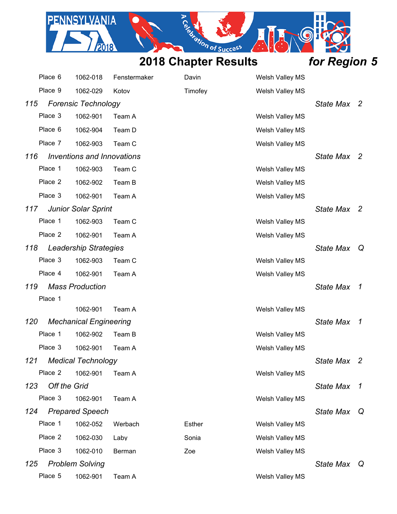PENNSYLVANIA

2018

 $\cdot$   $\circ$ 

|     | Place 6      | 1062-018                          | Fenstermaker | Davin   | Welsh Valley MS |                  |                |
|-----|--------------|-----------------------------------|--------------|---------|-----------------|------------------|----------------|
|     | Place 9      | 1062-029                          | Kotov        | Timofey | Welsh Valley MS |                  |                |
| 115 |              | <b>Forensic Technology</b>        |              |         |                 | State Max        | -2             |
|     | Place 3      | 1062-901                          | Team A       |         | Welsh Valley MS |                  |                |
|     | Place 6      | 1062-904                          | Team D       |         | Welsh Valley MS |                  |                |
|     | Place 7      | 1062-903                          | Team C       |         | Welsh Valley MS |                  |                |
| 116 |              | <b>Inventions and Innovations</b> |              |         |                 | State Max        | -2             |
|     | Place 1      | 1062-903                          | Team C       |         | Welsh Valley MS |                  |                |
|     | Place 2      | 1062-902                          | Team B       |         | Welsh Valley MS |                  |                |
|     | Place 3      | 1062-901                          | Team A       |         | Welsh Valley MS |                  |                |
| 117 |              | <b>Junior Solar Sprint</b>        |              |         |                 | State Max        | -2             |
|     | Place 1      | 1062-903                          | Team C       |         | Welsh Valley MS |                  |                |
|     | Place 2      | 1062-901                          | Team A       |         | Welsh Valley MS |                  |                |
| 118 |              | <b>Leadership Strategies</b>      |              |         |                 | <b>State Max</b> | $\mathsf{Q}$   |
|     | Place 3      | 1062-903                          | Team C       |         | Welsh Valley MS |                  |                |
|     | Place 4      | 1062-901                          | Team A       |         | Welsh Valley MS |                  |                |
| 119 |              | <b>Mass Production</b>            |              |         |                 | <b>State Max</b> | $\overline{1}$ |
|     | Place 1      |                                   |              |         |                 |                  |                |
|     |              | 1062-901                          | Team A       |         | Welsh Valley MS |                  |                |
| 120 |              | <b>Mechanical Engineering</b>     |              |         |                 | <b>State Max</b> | $\overline{1}$ |
|     | Place 1      | 1062-902                          | Team B       |         | Welsh Valley MS |                  |                |
|     | Place 3      | 1062-901                          | Team A       |         | Welsh Valley MS |                  |                |
| 121 |              | <b>Medical Technology</b>         |              |         |                 | State Max        | $\overline{c}$ |
|     | Place 2      | 1062-901                          | Team A       |         | Welsh Valley MS |                  |                |
| 123 | Off the Grid |                                   |              |         |                 | <b>State Max</b> | 7              |
|     | Place 3      | 1062-901                          | Team A       |         | Welsh Valley MS |                  |                |
| 124 |              | <b>Prepared Speech</b>            |              |         |                 | <b>State Max</b> | Q              |
|     | Place 1      | 1062-052                          | Werbach      | Esther  | Welsh Valley MS |                  |                |
|     | Place 2      | 1062-030                          | Laby         | Sonia   | Welsh Valley MS |                  |                |
|     | Place 3      | 1062-010                          | Berman       | Zoe     | Welsh Valley MS |                  |                |
| 125 |              | <b>Problem Solving</b>            |              |         |                 | State Max        | Q              |
|     | Place 5      | 1062-901                          | Team A       |         | Welsh Valley MS |                  |                |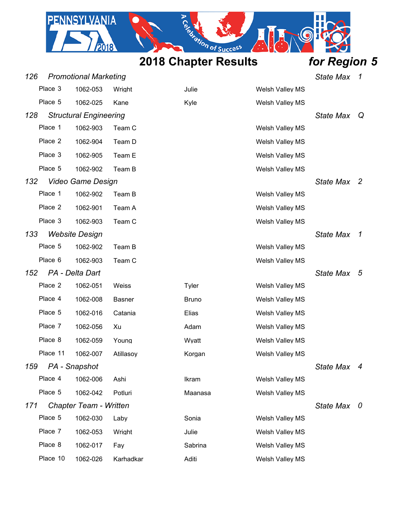PENNSYLVANIA

2018

 $\cdot$   $\circ$ 

| 126 |                              | <b>Promotional Marketing</b>  |               |              |                        | <b>State Max</b> | $\overline{1}$ |
|-----|------------------------------|-------------------------------|---------------|--------------|------------------------|------------------|----------------|
|     | Place 3                      | 1062-053                      | Wright        | Julie        | Welsh Valley MS        |                  |                |
|     | Place 5                      | 1062-025                      | Kane          | Kyle         | Welsh Valley MS        |                  |                |
| 128 |                              | <b>Structural Engineering</b> |               |              |                        | <b>State Max</b> | Q              |
|     | Place 1                      | 1062-903                      | Team C        |              | Welsh Valley MS        |                  |                |
|     | Place 2                      | 1062-904                      | Team D        |              | <b>Welsh Valley MS</b> |                  |                |
|     | Place 3                      | 1062-905                      | Team E        |              | Welsh Valley MS        |                  |                |
|     | Place 5                      | 1062-902                      | Team B        |              | Welsh Valley MS        |                  |                |
| 132 |                              | Video Game Design             |               |              |                        | State Max 2      |                |
|     | Place 1                      | 1062-902                      | Team B        |              | Welsh Valley MS        |                  |                |
|     | Place 2                      | 1062-901                      | Team A        |              | Welsh Valley MS        |                  |                |
|     | Place 3                      | 1062-903                      | Team C        |              | Welsh Valley MS        |                  |                |
|     | 133<br><b>Website Design</b> |                               |               |              |                        | <b>State Max</b> | 7              |
|     | Place 5                      | 1062-902                      | Team B        |              | Welsh Valley MS        |                  |                |
|     | Place 6                      | 1062-903                      | Team C        |              | <b>Welsh Valley MS</b> |                  |                |
| 152 |                              | PA - Delta Dart               |               |              |                        | <b>State Max</b> | 5              |
|     | Place 2                      | 1062-051                      | Weiss         | Tyler        | <b>Welsh Valley MS</b> |                  |                |
|     | Place 4                      | 1062-008                      | <b>Basner</b> | <b>Bruno</b> | Welsh Valley MS        |                  |                |
|     | Place 5                      | 1062-016                      | Catania       | Elias        | Welsh Valley MS        |                  |                |
|     | Place 7                      | 1062-056                      | Xu            | Adam         | <b>Welsh Valley MS</b> |                  |                |
|     | Place 8                      | 1062-059                      | Young         | Wyatt        | <b>Welsh Valley MS</b> |                  |                |
|     | Place 11                     | 1062-007                      | Atillasoy     | Korgan       | Welsh Valley MS        |                  |                |
| 159 |                              | PA - Snapshot                 |               |              |                        | State Max 4      |                |
|     | Place 4                      | 1062-006                      | Ashi          | Ikram        | <b>Welsh Valley MS</b> |                  |                |
|     | Place 5                      | 1062-042                      | Potluri       | Maanasa      | Welsh Valley MS        |                  |                |
| 171 |                              | Chapter Team - Written        |               |              |                        | State Max 0      |                |
|     | Place 5                      | 1062-030                      | Laby          | Sonia        | <b>Welsh Valley MS</b> |                  |                |
|     | Place 7                      | 1062-053                      | Wright        | Julie        | Welsh Valley MS        |                  |                |
|     | Place 8                      | 1062-017                      | Fay           | Sabrina      | Welsh Valley MS        |                  |                |
|     | Place 10                     | 1062-026                      | Karhadkar     | Aditi        | Welsh Valley MS        |                  |                |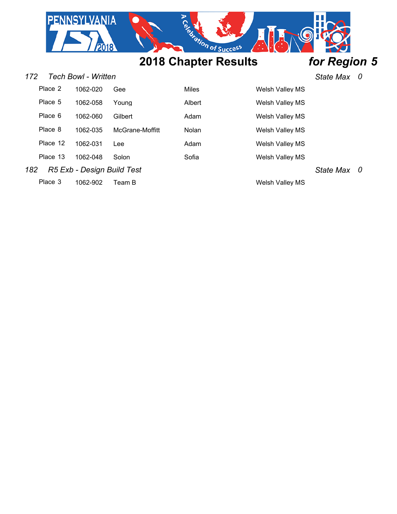

### *172 Tech Bowl - Written State Max 0*

| Place 2  | 1062-020 | Gee             | Miles  | <b>Welsh Valley MS</b> |
|----------|----------|-----------------|--------|------------------------|
| Place 5  | 1062-058 | Youna           | Albert | <b>Welsh Valley MS</b> |
| Place 6  | 1062-060 | Gilbert         | Adam   | <b>Welsh Valley MS</b> |
| Place 8  | 1062-035 | McGrane-Moffitt | Nolan  | Welsh Valley MS        |
| Place 12 | 1062-031 | Lee             | Adam   | <b>Welsh Valley MS</b> |
| Place 13 | 1062-048 | Solon           | Sofia  | <b>Welsh Valley MS</b> |
|          |          |                 |        |                        |

*182 R5 Exb - Design Build Test State Max 0*

Place 3 1062-902 Team B Welsh Valley MS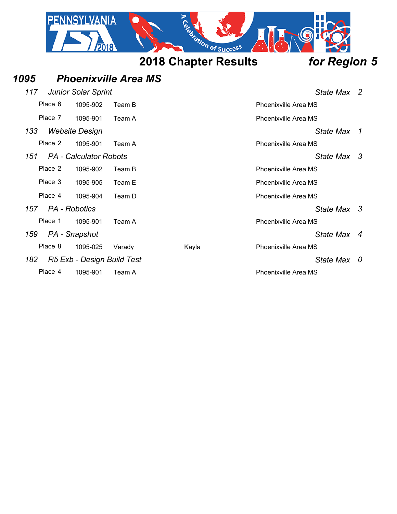

*1095 Phoenixville Area MS*

## *117 Junior Solar Sprint State Max 2* Place 6 1095-902 Team B Place 6 1095-902 Team B Place 7 1095-901 Team A Phoenixville Area MS *133 Website Design State Max 1* Place 2 1095-901 Team A Place 2 1095-901 Team A *151 PA - Calculator Robots State Max 3* Place 2 1095-902 Team B Place 2 1095-902 Team B Place 3 1095-905 Team E Place 3 Phoenixville Area MS Place 4 1095-904 Team D Place 1 2012 Phoenixville Area MS *157 PA - Robotics State Max 3* Place 1 1095-901 Team A Phoenixville Area MS *159 PA - Snapshot State Max 4* Place 8 1095-025 Varady Kayla Kayla Phoenixville Area MS *182 R5 Exb - Design Build Test State Max 0* Place 4 1095-901 Team A Phoenixville Area MS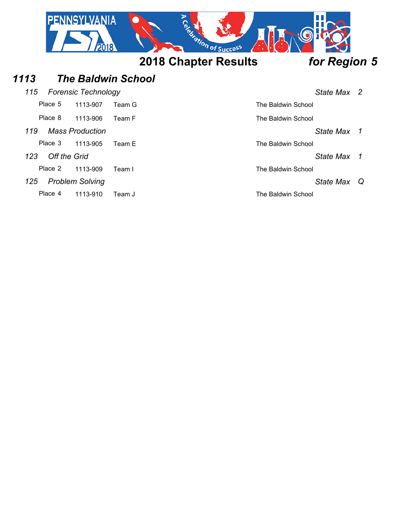

## *1113 The Baldwin School*

| 115 Forensic Technology | State Max 2 |  |
|-------------------------|-------------|--|
|                         |             |  |

|     | Place 5      | 1113-907               | Team G | The Baldwin School |                  |                |
|-----|--------------|------------------------|--------|--------------------|------------------|----------------|
|     | Place 8      | 1113-906               | Team F | The Baldwin School |                  |                |
| 119 |              | <b>Mass Production</b> |        |                    | <b>State Max</b> |                |
|     | Place 3      | 1113-905               | Team E | The Baldwin School |                  |                |
| 123 | Off the Grid |                        |        |                    | <b>State Max</b> | $\overline{1}$ |
|     | Place 2      | 1113-909               | Team I | The Baldwin School |                  |                |
| 125 |              | <b>Problem Solving</b> |        |                    | <b>State Max</b> | Q              |
|     | Place 4      | 1113-910               | Team J | The Baldwin School |                  |                |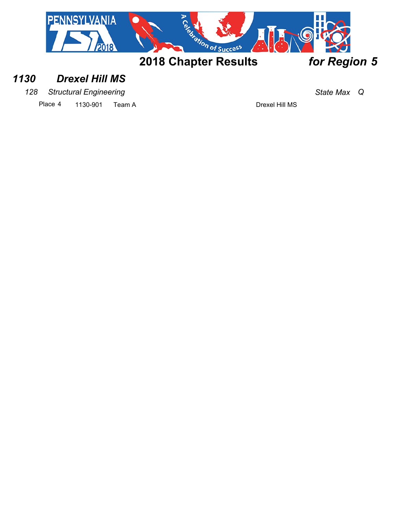

## *1130 Drexel Hill MS*

*128 Structural Engineering State Max Q*

Place 4 1130-901 Team A Drexel Hill MS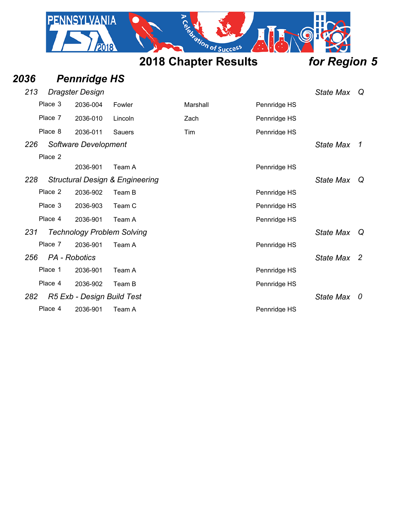|      | <b>PENNSYLVANIA</b> |                             |                  |
|------|---------------------|-----------------------------|------------------|
|      |                     | <b>2018 Chapter Results</b> | for Region 5     |
| 2036 | <b>Pennridge HS</b> |                             |                  |
| 213  | Dragster Design     |                             | <b>State Max</b> |

|     | Place 3 | 2036-004                   | Fowler                                     | Marshall | Pennridge HS |                  |   |
|-----|---------|----------------------------|--------------------------------------------|----------|--------------|------------------|---|
|     | Place 7 | 2036-010                   | Lincoln                                    | Zach     | Pennridge HS |                  |   |
|     | Place 8 | 2036-011                   | <b>Sauers</b>                              | Tim      | Pennridge HS |                  |   |
| 226 |         | Software Development       |                                            |          |              | <b>State Max</b> | 1 |
|     | Place 2 |                            |                                            |          |              |                  |   |
|     |         | 2036-901                   | Team A                                     |          | Pennridge HS |                  |   |
| 228 |         |                            | <b>Structural Design &amp; Engineering</b> |          |              | <b>State Max</b> | Q |
|     | Place 2 | 2036-902                   | Team B                                     |          | Pennridge HS |                  |   |
|     | Place 3 | 2036-903                   | Team C                                     |          | Pennridge HS |                  |   |
|     | Place 4 | 2036-901                   | Team A                                     |          | Pennridge HS |                  |   |
| 231 |         |                            | <b>Technology Problem Solving</b>          |          |              | <b>State Max</b> | Q |
|     | Place 7 | 2036-901                   | Team A                                     |          | Pennridge HS |                  |   |
| 256 |         | PA - Robotics              |                                            |          |              | State Max 2      |   |
|     | Place 1 | 2036-901                   | Team A                                     |          | Pennridge HS |                  |   |
|     | Place 4 | 2036-902                   | Team B                                     |          | Pennridge HS |                  |   |
| 282 |         | R5 Exb - Design Build Test |                                            |          |              | <b>State Max</b> | 0 |
|     | Place 4 | 2036-901                   | Team A                                     |          | Pennridge HS |                  |   |
|     |         |                            |                                            |          |              |                  |   |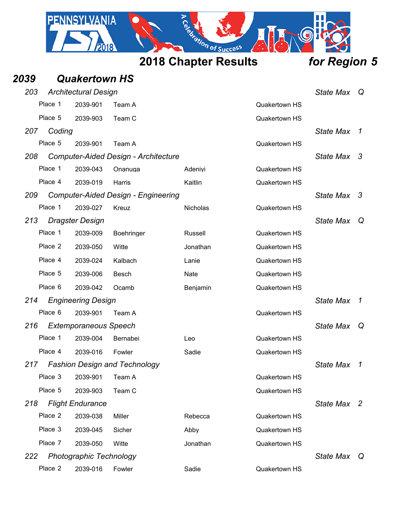

| 2039       |         | <b>Quakertown HS</b>           |                                             |          |                      |                  |     |
|------------|---------|--------------------------------|---------------------------------------------|----------|----------------------|------------------|-----|
| 203        |         | <b>Architectural Design</b>    |                                             |          |                      | <b>State Max</b> | ∣Q. |
|            | Place 1 | 2039-901                       | Team A                                      |          | <b>Quakertown HS</b> |                  |     |
|            | Place 5 | 2039-903                       | Team C                                      |          | Quakertown HS        |                  |     |
| 207        | Coding  |                                |                                             |          |                      | State Max 1      |     |
|            | Place 5 | 2039-901                       | Team A                                      |          | Quakertown HS        |                  |     |
| 208        |         |                                | <b>Computer-Aided Design - Architecture</b> |          |                      | State Max 3      |     |
|            | Place 1 | 2039-043                       | Onanuga                                     | Adeniyi  | Quakertown HS        |                  |     |
|            | Place 4 | 2039-019                       | Harris                                      | Kaitlin  | Quakertown HS        |                  |     |
| <b>209</b> |         |                                | <b>Computer-Aided Design - Engineering</b>  |          |                      | State Max 3      |     |
|            | Place 1 | 2039-027                       | Kreuz                                       | Nicholas | Quakertown HS        |                  |     |
| 213        |         | <b>Dragster Design</b>         |                                             |          |                      | <b>State Max</b> | Q   |
|            | Place 1 | 2039-009                       | Boehringer                                  | Russell  | Quakertown HS        |                  |     |
|            | Place 2 | 2039-050                       | Witte                                       | Jonathan | Quakertown HS        |                  |     |
|            | Place 4 | 2039-024                       | Kalbach                                     | Lanie    | Quakertown HS        |                  |     |
|            | Place 5 | 2039-006                       | Besch                                       | Nate     | <b>Quakertown HS</b> |                  |     |
|            | Place 6 | 2039-042                       | Ocamb                                       | Benjamin | Quakertown HS        |                  |     |
| 214        |         | <b>Engineering Design</b>      |                                             |          |                      | <b>State Max</b> | 1   |
|            | Place 6 | 2039-901                       | Team A                                      |          | Quakertown HS        |                  |     |
| 216        |         | <b>Extemporaneous Speech</b>   |                                             |          |                      | <b>State Max</b> | Q   |
|            | Place 1 | 2039-004                       | Bernabei                                    | Leo      | Quakertown HS        |                  |     |
|            | Place 4 | 2039-016                       | Fowler                                      | Sadie    | Quakertown HS        |                  |     |
|            |         |                                | 217 Fashion Design and Technology           |          |                      | State Max 1      |     |
|            | Place 3 | 2039-901                       | Team A                                      |          | Quakertown HS        |                  |     |
|            | Place 5 | 2039-903                       | Team C                                      |          | Quakertown HS        |                  |     |
| 218        |         | <b>Flight Endurance</b>        |                                             |          |                      | State Max 2      |     |
|            | Place 2 | 2039-038                       | Miller                                      | Rebecca  | Quakertown HS        |                  |     |
|            | Place 3 | 2039-045                       | Sicher                                      | Abby     | Quakertown HS        |                  |     |
|            | Place 7 | 2039-050                       | Witte                                       | Jonathan | Quakertown HS        |                  |     |
| 222        |         | <b>Photographic Technology</b> |                                             |          |                      | State Max Q      |     |
|            | Place 2 | 2039-016                       | Fowler                                      | Sadie    | Quakertown HS        |                  |     |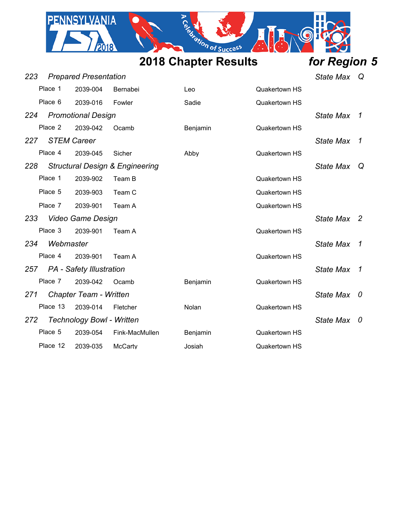

| 223      |                                               |                                 |                                                                                                                                                                                                                                          |                      |                  | Q                |
|----------|-----------------------------------------------|---------------------------------|------------------------------------------------------------------------------------------------------------------------------------------------------------------------------------------------------------------------------------------|----------------------|------------------|------------------|
| Place 1  | 2039-004                                      | Bernabei                        | Leo                                                                                                                                                                                                                                      | <b>Quakertown HS</b> |                  |                  |
| Place 6  | 2039-016                                      | Fowler                          | Sadie                                                                                                                                                                                                                                    | <b>Quakertown HS</b> |                  |                  |
|          |                                               |                                 |                                                                                                                                                                                                                                          |                      | State Max        | 1                |
| Place 2  | 2039-042                                      | Ocamb                           | Benjamin                                                                                                                                                                                                                                 | Quakertown HS        |                  |                  |
|          |                                               |                                 |                                                                                                                                                                                                                                          |                      | State Max        | 1                |
| Place 4  | 2039-045                                      | Sicher                          | Abby                                                                                                                                                                                                                                     | <b>Quakertown HS</b> |                  |                  |
|          |                                               |                                 |                                                                                                                                                                                                                                          |                      | State Max        | Q                |
| Place 1  | 2039-902                                      | Team B                          |                                                                                                                                                                                                                                          | <b>Quakertown HS</b> |                  |                  |
| Place 5  | 2039-903                                      | Team C                          |                                                                                                                                                                                                                                          | <b>Quakertown HS</b> |                  |                  |
| Place 7  | 2039-901                                      | Team A                          |                                                                                                                                                                                                                                          | Quakertown HS        |                  |                  |
|          |                                               |                                 |                                                                                                                                                                                                                                          |                      | State Max 2      |                  |
| Place 3  | 2039-901                                      | Team A                          |                                                                                                                                                                                                                                          | Quakertown HS        |                  |                  |
|          |                                               |                                 |                                                                                                                                                                                                                                          |                      | <b>State Max</b> | -1               |
| Place 4  | 2039-901                                      | Team A                          |                                                                                                                                                                                                                                          | <b>Quakertown HS</b> |                  |                  |
|          |                                               |                                 |                                                                                                                                                                                                                                          |                      | <b>State Max</b> | 1                |
| Place 7  | 2039-042                                      | Ocamb                           | Benjamin                                                                                                                                                                                                                                 | <b>Quakertown HS</b> |                  |                  |
|          |                                               |                                 |                                                                                                                                                                                                                                          |                      | <b>State Max</b> | 0                |
| Place 13 | 2039-014                                      | Fletcher                        | Nolan                                                                                                                                                                                                                                    | Quakertown HS        |                  |                  |
|          |                                               |                                 |                                                                                                                                                                                                                                          |                      | <b>State Max</b> | 0                |
| Place 5  | 2039-054                                      | Fink-MacMullen                  | Benjamin                                                                                                                                                                                                                                 | <b>Quakertown HS</b> |                  |                  |
| Place 12 | 2039-035                                      | McCarty                         | Josiah                                                                                                                                                                                                                                   | <b>Quakertown HS</b> |                  |                  |
|          | 224<br>227<br>228<br>233<br>234<br>271<br>272 | <b>STEM Career</b><br>Webmaster | <b>Prepared Presentation</b><br><b>Promotional Design</b><br><b>Structural Design &amp; Engineering</b><br><b>Video Game Design</b><br>257 PA - Safety Illustration<br><b>Chapter Team - Written</b><br><b>Technology Bowl - Written</b> |                      |                  | <b>State Max</b> |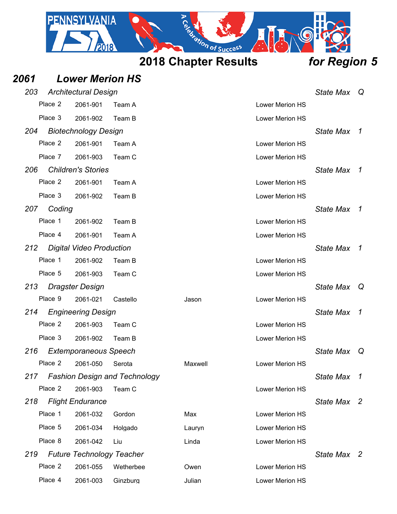

## *2061 Lower Merion HS 203 Architectural Design State Max Q* Place 2 2061-901 Team A Lower Merion HS Place 3 2061-902 Team B 2008 Contract 2008 Contract 2008 Contract 2008 Contract 2008 Contract 2009 Contract 20 *204 Biotechnology Design State Max 1* Place 2 2061-901 Team A Lower Merion HS Place 7 2061-903 Team C Lower Merion HS *206 Children's Stories State Max 1* Place 2 2061-901 Team A Lower Merion HS Place 3 2061-902 Team B 2008 Contract 2008 Contract 2008 Contract 2008 Contract 2008 Contract 2009 Contract 20 *207 Coding State Max 1* Place 1 2061-902 Team B Lower Merion HS Place 4 2061-901 Team A Lower Merion HS *212 Digital Video Production State Max 1* Place 1 2061-902 Team B 2008 Company Lower Merion HS Place 5 2061-903 Team C Lower Merion HS *213 Dragster Design State Max Q* Place 9 2061-021 Castello Jason Lower Merion HS *214 Engineering Design State Max 1* Place 2 2061-903 Team C Lower Merion HS Place 3 2061-902 Team B 2008 Contract 2008 Contract 2008 Contract 2009 Contract 2009 Contract 2009 Contract 20 *216 Extemporaneous Speech State Max Q* Place 2 2061-050 Serota Maxwell Lower Merion HS *217 Fashion Design and Technology State Max 1* Place 2 2061-903 Team C 2008 Research Market Merion HS *218 Flight Endurance State Max 2* Place 1 2061-032 Gordon Max Max Lower Merion HS Place 5 2061-034 Holgado Lauryn Lower Merion HS Place 8 2061-042 Liu Linda Lower Merion HS *219 Future Technology Teacher State Max 2* Place 2 2061-055 Wetherbee Cowen Cowen Lower Merion HS

Place 4 2061-003 Ginzburg Julian Julian Lower Merion HS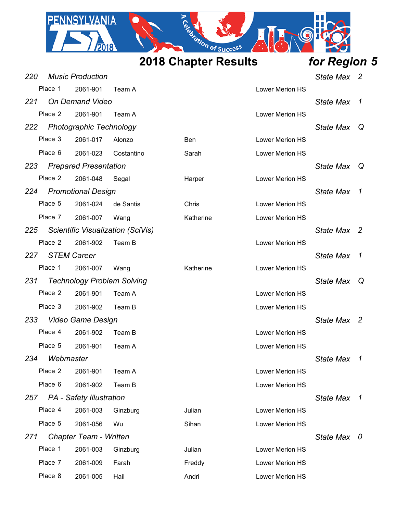

| 220 |           | <b>Music Production</b>           |                                   |           |                        | <b>State Max</b> | $\overline{2}$ |
|-----|-----------|-----------------------------------|-----------------------------------|-----------|------------------------|------------------|----------------|
|     | Place 1   | 2061-901                          | Team A                            |           | Lower Merion HS        |                  |                |
| 221 |           | <b>On Demand Video</b>            |                                   |           |                        | <b>State Max</b> | 1              |
|     | Place 2   | 2061-901                          | Team A                            |           | <b>Lower Merion HS</b> |                  |                |
| 222 |           | <b>Photographic Technology</b>    |                                   |           |                        | <b>State Max</b> | Q              |
|     | Place 3   | 2061-017                          | Alonzo                            | Ben       | Lower Merion HS        |                  |                |
|     | Place 6   | 2061-023                          | Costantino                        | Sarah     | Lower Merion HS        |                  |                |
| 223 |           | <b>Prepared Presentation</b>      |                                   |           |                        | State Max        | Q              |
|     | Place 2   | 2061-048                          | Segal                             | Harper    | Lower Merion HS        |                  |                |
| 224 |           | <b>Promotional Design</b>         |                                   |           |                        | <b>State Max</b> | 1              |
|     | Place 5   | 2061-024                          | de Santis                         | Chris     | <b>Lower Merion HS</b> |                  |                |
|     | Place 7   | 2061-007                          | Wang                              | Katherine | Lower Merion HS        |                  |                |
| 225 |           |                                   | Scientific Visualization (SciVis) |           |                        | <b>State Max</b> | - 2            |
|     | Place 2   | 2061-902                          | Team B                            |           | Lower Merion HS        |                  |                |
| 227 |           | <b>STEM Career</b>                |                                   |           |                        | <b>State Max</b> | 1              |
|     | Place 1   | 2061-007                          | Wang                              | Katherine | Lower Merion HS        |                  |                |
| 231 |           | <b>Technology Problem Solving</b> |                                   |           |                        | <b>State Max</b> | Q              |
|     | Place 2   | 2061-901                          | Team A                            |           | Lower Merion HS        |                  |                |
|     | Place 3   | 2061-902                          | Team B                            |           | Lower Merion HS        |                  |                |
| 233 |           | <b>Video Game Design</b>          |                                   |           |                        | State Max        | - 2            |
|     | Place 4   | 2061-902                          | Team B                            |           | Lower Merion HS        |                  |                |
|     | Place 5   | 2061-901                          | Team A                            |           | Lower Merion HS        |                  |                |
| 234 | Webmaster |                                   |                                   |           |                        | <b>State Max</b> | 1              |
|     | Place 2   | 2061-901                          | Team A                            |           | Lower Merion HS        |                  |                |
|     | Place 6   | 2061-902                          | Team B                            |           | Lower Merion HS        |                  |                |
| 257 |           | <b>PA</b> - Safety Illustration   |                                   |           |                        | <b>State Max</b> | $\overline{1}$ |
|     | Place 4   | 2061-003                          | Ginzburg                          | Julian    | Lower Merion HS        |                  |                |
|     | Place 5   | 2061-056                          | Wu                                | Sihan     | Lower Merion HS        |                  |                |
| 271 |           | <b>Chapter Team - Written</b>     |                                   |           |                        | State Max 0      |                |
|     | Place 1   | 2061-003                          | Ginzburg                          | Julian    | <b>Lower Merion HS</b> |                  |                |
|     | Place 7   | 2061-009                          | Farah                             | Freddy    | Lower Merion HS        |                  |                |
|     | Place 8   | 2061-005                          | Hail                              | Andri     | Lower Merion HS        |                  |                |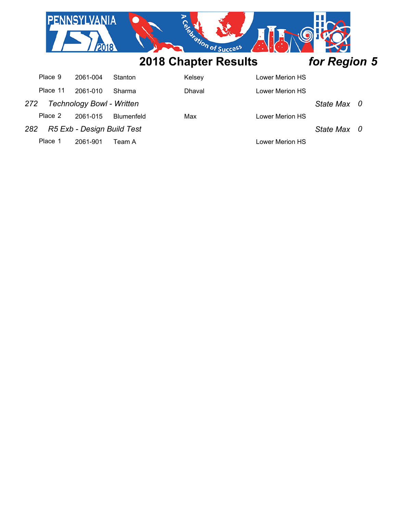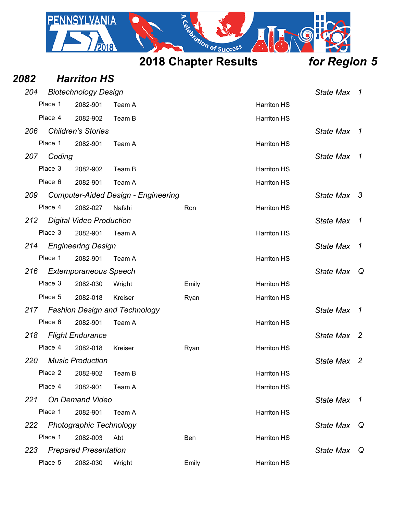

| 2082 |         | <b>Harriton HS</b>                       |                                            |       |                    |                  |              |
|------|---------|------------------------------------------|--------------------------------------------|-------|--------------------|------------------|--------------|
| 204  |         | <b>Biotechnology Design</b>              |                                            |       |                    | State Max        | 1            |
|      | Place 1 | 2082-901                                 | Team A                                     |       | <b>Harriton HS</b> |                  |              |
|      | Place 4 | 2082-902                                 | Team B                                     |       | <b>Harriton HS</b> |                  |              |
| 206  |         | <b>Children's Stories</b>                |                                            |       |                    | <b>State Max</b> | 1            |
|      | Place 1 | 2082-901                                 | Team A                                     |       | <b>Harriton HS</b> |                  |              |
| 207  | Coding  |                                          |                                            |       |                    | <b>State Max</b> | 1            |
|      | Place 3 | 2082-902                                 | Team B                                     |       | <b>Harriton HS</b> |                  |              |
|      | Place 6 | 2082-901                                 | Team A                                     |       | <b>Harriton HS</b> |                  |              |
| 209  |         |                                          | <b>Computer-Aided Design - Engineering</b> |       |                    | State Max 3      |              |
|      | Place 4 | 2082-027                                 | Nafshi                                     | Ron   | <b>Harriton HS</b> |                  |              |
| 212  |         | <b>Digital Video Production</b>          |                                            |       |                    | <b>State Max</b> | 1            |
|      | Place 3 | 2082-901                                 | Team A                                     |       | <b>Harriton HS</b> |                  |              |
| 214  |         | <b>Engineering Design</b>                |                                            |       |                    | <b>State Max</b> | $\mathcal I$ |
|      | Place 1 | 2082-901                                 | Team A                                     |       | <b>Harriton HS</b> |                  |              |
| 216  |         | <b>Extemporaneous Speech</b>             |                                            |       |                    | <b>State Max</b> | Q            |
|      | Place 3 | 2082-030                                 | Wright                                     | Emily | <b>Harriton HS</b> |                  |              |
|      | Place 5 | 2082-018                                 | Kreiser                                    | Ryan  | <b>Harriton HS</b> |                  |              |
| 217  |         |                                          | <b>Fashion Design and Technology</b>       |       |                    | <b>State Max</b> | 1            |
|      | Place 6 | 2082-901                                 | Team A                                     |       | <b>Harriton HS</b> |                  |              |
| 218  |         | <b>Flight Endurance</b>                  |                                            |       |                    | State Max 2      |              |
|      | Place 4 | 2082-018                                 | Kreiser                                    | Ryan  | <b>Harriton HS</b> |                  |              |
|      |         | 220 Music Production                     |                                            |       |                    | State Max 2      |              |
|      | Place 2 | 2082-902                                 | Team B                                     |       | <b>Harriton HS</b> |                  |              |
|      | Place 4 | 2082-901                                 | Team A                                     |       | <b>Harriton HS</b> |                  |              |
| 221  |         | On Demand Video                          |                                            |       |                    | State Max        | 1            |
|      | Place 1 | 2082-901                                 | Team A                                     |       | <b>Harriton HS</b> |                  |              |
| 222  | Place 1 | <b>Photographic Technology</b>           |                                            |       |                    | <b>State Max</b> | Q            |
| 223  |         | 2082-003<br><b>Prepared Presentation</b> | Abt                                        | Ben   | <b>Harriton HS</b> | <b>State Max</b> | Q            |
|      | Place 5 | 2082-030                                 | Wright                                     | Emily | <b>Harriton HS</b> |                  |              |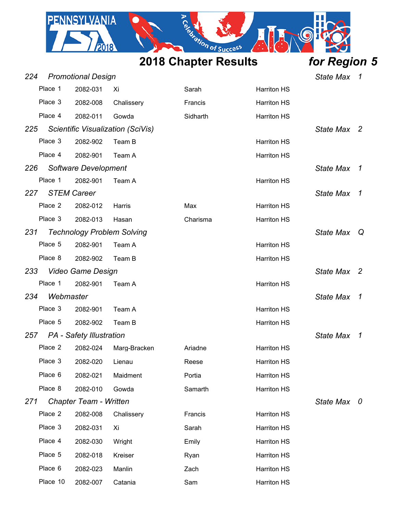

| 224 |           | <b>Promotional Design</b>         |                                   |          |                    | <b>State Max</b> | 1                          |
|-----|-----------|-----------------------------------|-----------------------------------|----------|--------------------|------------------|----------------------------|
|     | Place 1   | 2082-031                          | Xi                                | Sarah    | <b>Harriton HS</b> |                  |                            |
|     | Place 3   | 2082-008                          | Chalissery                        | Francis  | <b>Harriton HS</b> |                  |                            |
|     | Place 4   | 2082-011                          | Gowda                             | Sidharth | <b>Harriton HS</b> |                  |                            |
| 225 |           |                                   | Scientific Visualization (SciVis) |          |                    | State Max 2      |                            |
|     | Place 3   | 2082-902                          | Team B                            |          | <b>Harriton HS</b> |                  |                            |
|     | Place 4   | 2082-901                          | Team A                            |          | <b>Harriton HS</b> |                  |                            |
| 226 |           | Software Development              |                                   |          |                    | <b>State Max</b> | $\mathcal{I}$              |
|     | Place 1   | 2082-901                          | Team A                            |          | <b>Harriton HS</b> |                  |                            |
| 227 |           | <b>STEM Career</b>                |                                   |          |                    | <b>State Max</b> | $\mathcal I$               |
|     | Place 2   | 2082-012                          | Harris                            | Max      | <b>Harriton HS</b> |                  |                            |
|     | Place 3   | 2082-013                          | Hasan                             | Charisma | <b>Harriton HS</b> |                  |                            |
| 231 |           | <b>Technology Problem Solving</b> |                                   |          |                    | State Max Q      |                            |
|     | Place 5   | 2082-901                          | Team A                            |          | <b>Harriton HS</b> |                  |                            |
|     | Place 8   | 2082-902                          | Team B                            |          | <b>Harriton HS</b> |                  |                            |
| 233 |           | <b>Video Game Design</b>          |                                   |          |                    | State Max 2      |                            |
|     | Place 1   | 2082-901                          | Team A                            |          | <b>Harriton HS</b> |                  |                            |
| 234 | Webmaster |                                   |                                   |          |                    | <b>State Max</b> | $\mathcal{I}$              |
|     | Place 3   | 2082-901                          | Team A                            |          | <b>Harriton HS</b> |                  |                            |
|     | Place 5   | 2082-902                          | Team B                            |          | <b>Harriton HS</b> |                  |                            |
|     |           | 257 PA - Safety Illustration      |                                   |          |                    | <b>State Max</b> | $\boldsymbol{\mathcal{I}}$ |
|     | Place 2   | 2082-024                          | Marg-Bracken                      | Ariadne  | <b>Harriton HS</b> |                  |                            |
|     |           | Place 3 2082-020 Lienau           |                                   | Reese    | <b>Harriton HS</b> |                  |                            |
|     | Place 6   | 2082-021                          | Maidment                          | Portia   | <b>Harriton HS</b> |                  |                            |
|     | Place 8   | 2082-010                          | Gowda                             | Samarth  | <b>Harriton HS</b> |                  |                            |
| 271 |           | Chapter Team - Written            |                                   |          |                    | State Max 0      |                            |
|     | Place 2   | 2082-008                          | Chalissery                        | Francis  | <b>Harriton HS</b> |                  |                            |
|     | Place 3   | 2082-031                          | Xi                                | Sarah    | <b>Harriton HS</b> |                  |                            |
|     | Place 4   | 2082-030                          | Wright                            | Emily    | <b>Harriton HS</b> |                  |                            |
|     | Place 5   | 2082-018                          | Kreiser                           | Ryan     | <b>Harriton HS</b> |                  |                            |
|     | Place 6   | 2082-023                          | Manlin                            | Zach     | <b>Harriton HS</b> |                  |                            |
|     | Place 10  | 2082-007                          | Catania                           | Sam      | <b>Harriton HS</b> |                  |                            |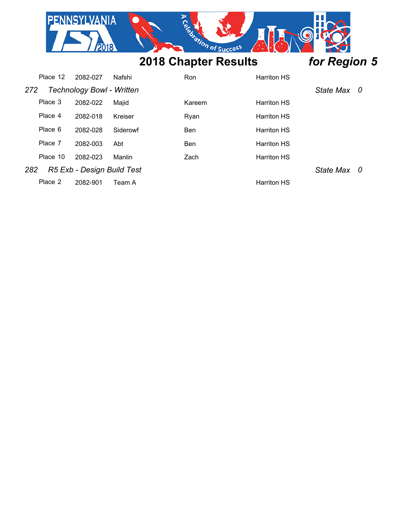| <b>NNSYLVANIA</b> |                             |              |
|-------------------|-----------------------------|--------------|
|                   | <b>2018 Chapter Results</b> | for Region 5 |

|     | Place 12 | 2082-027                         | Nafshi   | Ron        | <b>Harriton HS</b> |             |  |
|-----|----------|----------------------------------|----------|------------|--------------------|-------------|--|
| 272 |          | <b>Technology Bowl - Written</b> |          |            |                    | State Max 0 |  |
|     | Place 3  | 2082-022                         | Maiid    | Kareem     | <b>Harriton HS</b> |             |  |
|     | Place 4  | 2082-018                         | Kreiser  | Rvan       | <b>Harriton HS</b> |             |  |
|     | Place 6  | 2082-028                         | Siderowf | <b>Ben</b> | <b>Harriton HS</b> |             |  |
|     | Place 7  | 2082-003                         | Abt      | Ben        | <b>Harriton HS</b> |             |  |
|     | Place 10 | 2082-023                         | Manlin   | Zach       | <b>Harriton HS</b> |             |  |
| 282 |          | R5 Exb - Design Build Test       |          |            |                    | State Max 0 |  |
|     | Place 2  | 2082-901                         | Team A   |            | <b>Harriton HS</b> |             |  |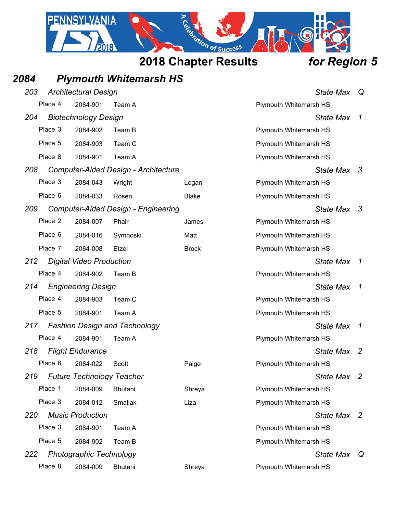

## *2084 Plymouth Whitemarsh HS*

| 203 |         | <b>Architectural Design</b>      |                                            |              | <b>State Max</b>              | Q            |
|-----|---------|----------------------------------|--------------------------------------------|--------------|-------------------------------|--------------|
|     | Place 4 | 2084-901                         | Team A                                     |              | Plymouth Whitemarsh HS        |              |
| 204 |         | <b>Biotechnology Design</b>      |                                            |              | <b>State Max</b>              | 1            |
|     | Place 3 | 2084-902                         | Team B                                     |              | <b>Plymouth Whitemarsh HS</b> |              |
|     | Place 5 | 2084-903                         | Team C                                     |              | <b>Plymouth Whitemarsh HS</b> |              |
|     | Place 8 | 2084-901                         | Team A                                     |              | <b>Plymouth Whitemarsh HS</b> |              |
| 208 |         |                                  | Computer-Aided Design - Architecture       |              | State Max 3                   |              |
|     | Place 3 | 2084-043                         | Wright                                     | Logan        | Plymouth Whitemarsh HS        |              |
|     | Place 6 | 2084-033                         | Rosen                                      | <b>Blake</b> | Plymouth Whitemarsh HS        |              |
| 209 |         |                                  | <b>Computer-Aided Design - Engineering</b> |              | State Max 3                   |              |
|     | Place 2 | 2084-007                         | Phair                                      | James        | Plymouth Whitemarsh HS        |              |
|     | Place 6 | 2084-016                         | Symnoski                                   | Matt         | Plymouth Whitemarsh HS        |              |
|     | Place 7 | 2084-008                         | Etzel                                      | <b>Brock</b> | Plymouth Whitemarsh HS        |              |
| 212 |         | <b>Digital Video Production</b>  |                                            |              | <b>State Max</b>              | 1            |
|     | Place 4 | 2084-902                         | Team B                                     |              | Plymouth Whitemarsh HS        |              |
| 214 |         | <b>Engineering Design</b>        |                                            |              | <b>State Max</b>              | $\mathcal I$ |
|     | Place 4 | 2084-903                         | Team C                                     |              | Plymouth Whitemarsh HS        |              |
|     | Place 5 | 2084-901                         | Team A                                     |              | Plymouth Whitemarsh HS        |              |
| 217 |         |                                  | <b>Fashion Design and Technology</b>       |              | <b>State Max</b>              | 1            |
|     | Place 4 | 2084-901                         | Team A                                     |              | Plymouth Whitemarsh HS        |              |
| 218 |         | <b>Flight Endurance</b>          |                                            |              | <b>State Max</b>              | -2           |
|     | Place 6 | 2084-022                         | Scott                                      | Paige        | Plymouth Whitemarsh HS        |              |
| 219 |         | <b>Future Technology Teacher</b> |                                            |              | State Max 2                   |              |
|     | Place 1 | 2084-009                         | Bhutani                                    | Shreya       | Plymouth Whitemarsh HS        |              |
|     | Place 3 | 2084-012                         | Smaliak                                    | Liza         | <b>Plymouth Whitemarsh HS</b> |              |
| 220 |         | <b>Music Production</b>          |                                            |              | State Max 2                   |              |
|     | Place 3 | 2084-901                         | Team A                                     |              | Plymouth Whitemarsh HS        |              |
|     | Place 5 | 2084-902                         | Team B                                     |              | <b>Plymouth Whitemarsh HS</b> |              |
| 222 |         | <b>Photographic Technology</b>   |                                            |              | <b>State Max</b>              | Q            |
|     | Place 8 | 2084-009                         | <b>Bhutani</b>                             | Shreya       | Plymouth Whitemarsh HS        |              |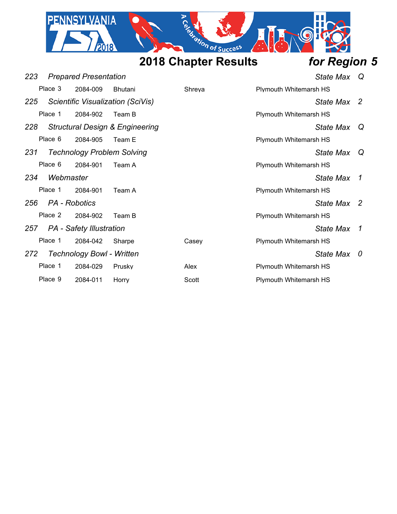

| 223                          |                   | <b>Prepared Presentation</b>      |                                            |        | State Max Q                   |             |                |
|------------------------------|-------------------|-----------------------------------|--------------------------------------------|--------|-------------------------------|-------------|----------------|
|                              | Place 3           | 2084-009                          | <b>Bhutani</b>                             | Shreya | Plymouth Whitemarsh HS        |             |                |
| 225                          |                   |                                   | Scientific Visualization (SciVis)          |        |                               | State Max 2 |                |
|                              | Place 1           | 2084-902                          | Team B                                     |        | <b>Plymouth Whitemarsh HS</b> |             |                |
| 228                          |                   |                                   | <b>Structural Design &amp; Engineering</b> |        |                               | State Max   | Q              |
|                              | Place 6           | 2084-905                          | Team E                                     |        | <b>Plymouth Whitemarsh HS</b> |             |                |
| 231                          |                   | <b>Technology Problem Solving</b> |                                            |        |                               | State Max Q |                |
|                              | Place 6           | 2084-901                          | Team A                                     |        | Plymouth Whitemarsh HS        |             |                |
| 234                          | Webmaster         |                                   |                                            |        |                               | State Max   | $\overline{1}$ |
|                              | Place 1           | 2084-901                          | Team A                                     |        | Plymouth Whitemarsh HS        |             |                |
|                              | 256 PA - Robotics |                                   |                                            |        |                               | State Max 2 |                |
|                              | Place 2           | 2084-902                          | Team B                                     |        | Plymouth Whitemarsh HS        |             |                |
| 257 PA - Safety Illustration |                   |                                   |                                            |        |                               | State Max   | $\overline{1}$ |
|                              | Place 1           | 2084-042                          | Sharpe                                     | Casev  | Plymouth Whitemarsh HS        |             |                |
| 272                          |                   | <b>Technology Bowl - Written</b>  |                                            |        |                               | State Max 0 |                |
|                              | Place 1           | 2084-029                          | Prusky                                     | Alex   | Plymouth Whitemarsh HS        |             |                |
|                              | Place 9           | 2084-011                          | Horry                                      | Scott  | <b>Plymouth Whitemarsh HS</b> |             |                |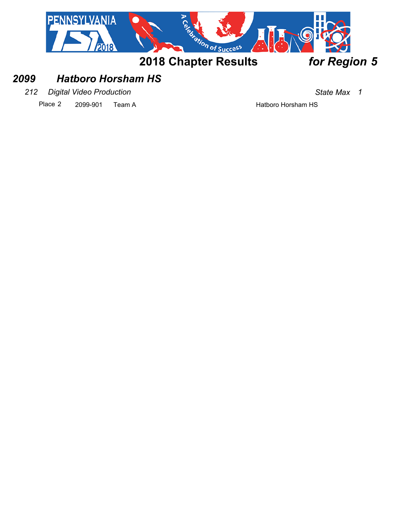

## *2099 Hatboro Horsham HS*

*212 Digital Video Production State Max 1*

Place 2 2099-901 Team A Hatboro Horsham HS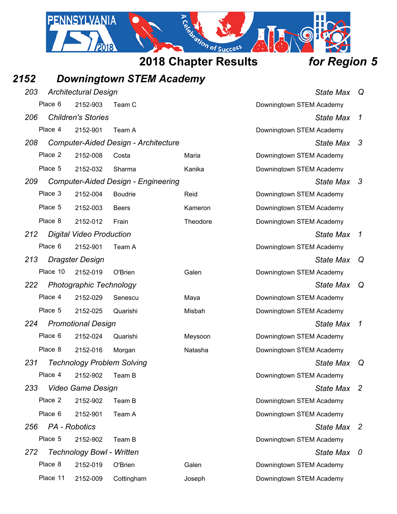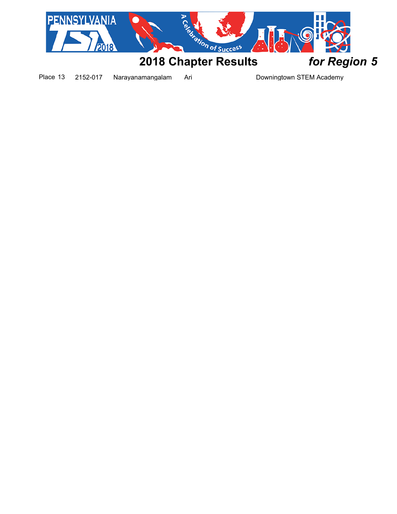

Place 13 2152-017 Narayanamangalam Ari Downingtown STEM Academy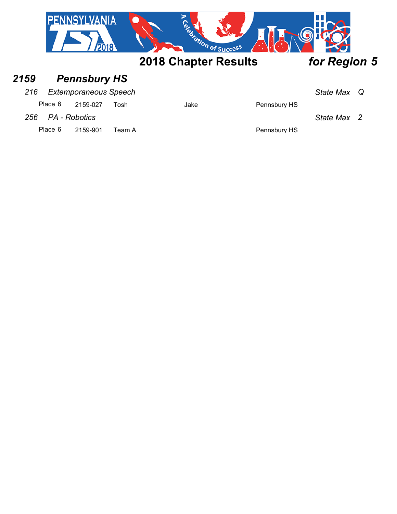| <b>O</b>                    |              |
|-----------------------------|--------------|
| <b>2018 Chapter Results</b> | for Region 5 |

## *2159 Pennsbury HS*

### *216 Extemporaneous Speech State Max Q*

Place 6 2159-027 Tosh Jake Jake Pennsbury HS

*256 PA - Robotics State Max 2*

Place 6 2159-901 Team A Place 6 2159-901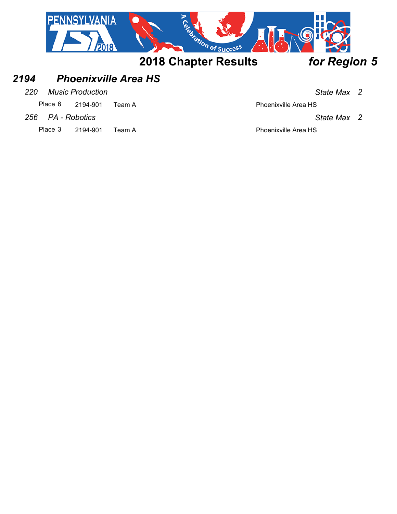

## *2194 Phoenixville Area HS*

*220 Music Production State Max 2*

Place 6 2194-901 Team A Place 6 2194-901

*256 PA - Robotics State Max 2*

Place 3 2194-901 Team A Place 3 2194-901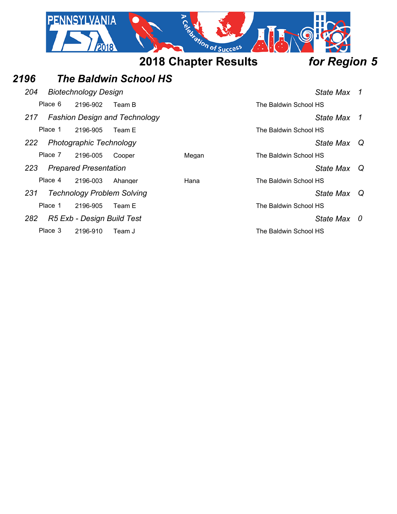|      |         | VANIA                             |                                      | Certain of Success          |                       |              |                |
|------|---------|-----------------------------------|--------------------------------------|-----------------------------|-----------------------|--------------|----------------|
|      |         |                                   |                                      | <b>2018 Chapter Results</b> |                       | for Region 5 |                |
| 2196 |         |                                   | <b>The Baldwin School HS</b>         |                             |                       |              |                |
| 204  |         | <b>Biotechnology Design</b>       |                                      |                             |                       | State Max 1  |                |
|      | Place 6 | 2196-902                          | Team B                               |                             | The Baldwin School HS |              |                |
| 217  |         |                                   | <b>Fashion Design and Technology</b> |                             |                       | State Max    | $\overline{1}$ |
|      | Place 1 | 2196-905                          | Team E                               |                             | The Baldwin School HS |              |                |
| 222  |         | Photographic Technology           |                                      |                             |                       | State Max    | Q              |
|      | Place 7 | 2196-005                          | Cooper                               | Megan                       | The Baldwin School HS |              |                |
| 223  |         | <b>Prepared Presentation</b>      |                                      |                             |                       | State Max    | Q              |
|      | Place 4 | 2196-003                          | Ahanger                              | Hana                        | The Baldwin School HS |              |                |
| 231  |         | <b>Technology Problem Solving</b> |                                      |                             |                       | State Max    | Q              |
|      | Place 1 | 2196-905                          | Team E                               |                             | The Baldwin School HS |              |                |
| 282  |         | R5 Exb - Design Build Test        |                                      |                             |                       | State Max 0  |                |
|      | Place 3 | 2196-910                          | Team J                               |                             | The Baldwin School HS |              |                |